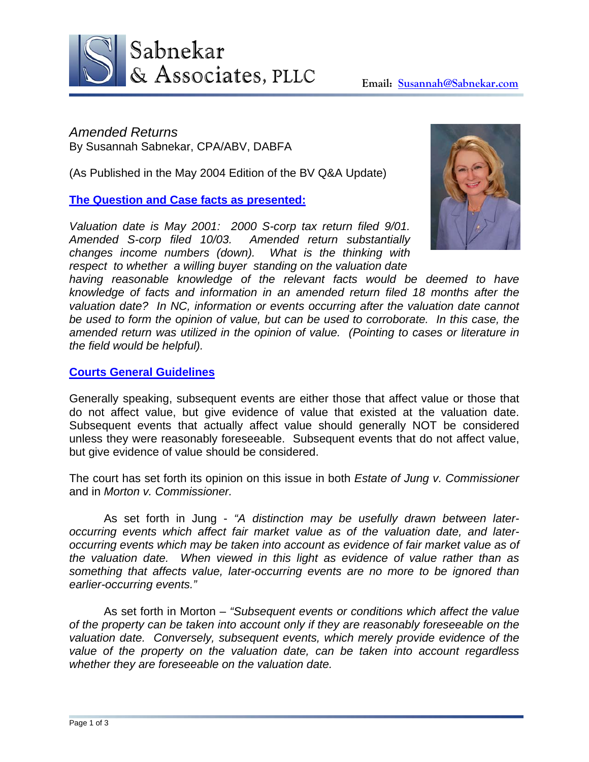

*Amended Returns* By Susannah Sabnekar, CPA/ABV, DABFA

(As Published in the May 2004 Edition of the BV Q&A Update)

**The Question and Case facts as presented:**

*Valuation date is May 2001: 2000 S-corp tax return filed 9/01. Amended S-corp filed 10/03. Amended return substantially changes income numbers (down). What is the thinking with respect to whether a willing buyer standing on the valuation date* 



*having reasonable knowledge of the relevant facts would be deemed to have knowledge of facts and information in an amended return filed 18 months after the valuation date? In NC, information or events occurring after the valuation date cannot be used to form the opinion of value, but can be used to corroborate. In this case, the amended return was utilized in the opinion of value. (Pointing to cases or literature in the field would be helpful).* 

### **Courts General Guidelines**

Generally speaking, subsequent events are either those that affect value or those that do not affect value, but give evidence of value that existed at the valuation date. Subsequent events that actually affect value should generally NOT be considered unless they were reasonably foreseeable. Subsequent events that do not affect value, but give evidence of value should be considered.

The court has set forth its opinion on this issue in both *Estate of Jung v. Commissioner* and in *Morton v. Commissioner.* 

As set forth in Jung - *"A distinction may be usefully drawn between lateroccurring events which affect fair market value as of the valuation date, and lateroccurring events which may be taken into account as evidence of fair market value as of the valuation date. When viewed in this light as evidence of value rather than as something that affects value, later-occurring events are no more to be ignored than earlier-occurring events."*

 As set forth in Morton – *"Subsequent events or conditions which affect the value of the property can be taken into account only if they are reasonably foreseeable on the valuation date. Conversely, subsequent events, which merely provide evidence of the value of the property on the valuation date, can be taken into account regardless whether they are foreseeable on the valuation date.*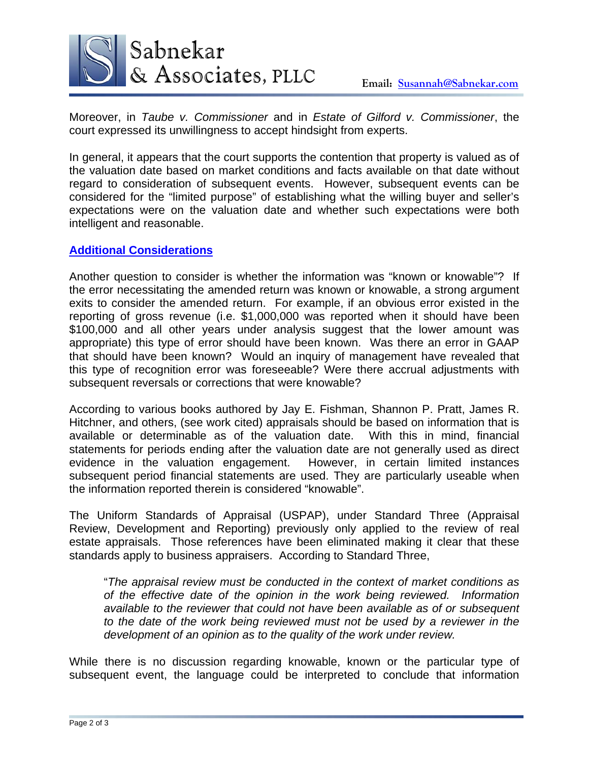

Moreover, in *Taube v. Commissioner* and in *Estate of Gilford v. Commissioner*, the court expressed its unwillingness to accept hindsight from experts.

In general, it appears that the court supports the contention that property is valued as of the valuation date based on market conditions and facts available on that date without regard to consideration of subsequent events. However, subsequent events can be considered for the "limited purpose" of establishing what the willing buyer and seller's expectations were on the valuation date and whether such expectations were both intelligent and reasonable.

# **Additional Considerations**

Another question to consider is whether the information was "known or knowable"? If the error necessitating the amended return was known or knowable, a strong argument exits to consider the amended return. For example, if an obvious error existed in the reporting of gross revenue (i.e. \$1,000,000 was reported when it should have been \$100,000 and all other years under analysis suggest that the lower amount was appropriate) this type of error should have been known. Was there an error in GAAP that should have been known? Would an inquiry of management have revealed that this type of recognition error was foreseeable? Were there accrual adjustments with subsequent reversals or corrections that were knowable?

According to various books authored by Jay E. Fishman, Shannon P. Pratt, James R. Hitchner, and others, (see work cited) appraisals should be based on information that is available or determinable as of the valuation date. With this in mind, financial statements for periods ending after the valuation date are not generally used as direct evidence in the valuation engagement. However, in certain limited instances subsequent period financial statements are used. They are particularly useable when the information reported therein is considered "knowable".

The Uniform Standards of Appraisal (USPAP), under Standard Three (Appraisal Review, Development and Reporting) previously only applied to the review of real estate appraisals. Those references have been eliminated making it clear that these standards apply to business appraisers. According to Standard Three,

"*The appraisal review must be conducted in the context of market conditions as of the effective date of the opinion in the work being reviewed. Information available to the reviewer that could not have been available as of or subsequent to the date of the work being reviewed must not be used by a reviewer in the development of an opinion as to the quality of the work under review.* 

While there is no discussion regarding knowable, known or the particular type of subsequent event, the language could be interpreted to conclude that information